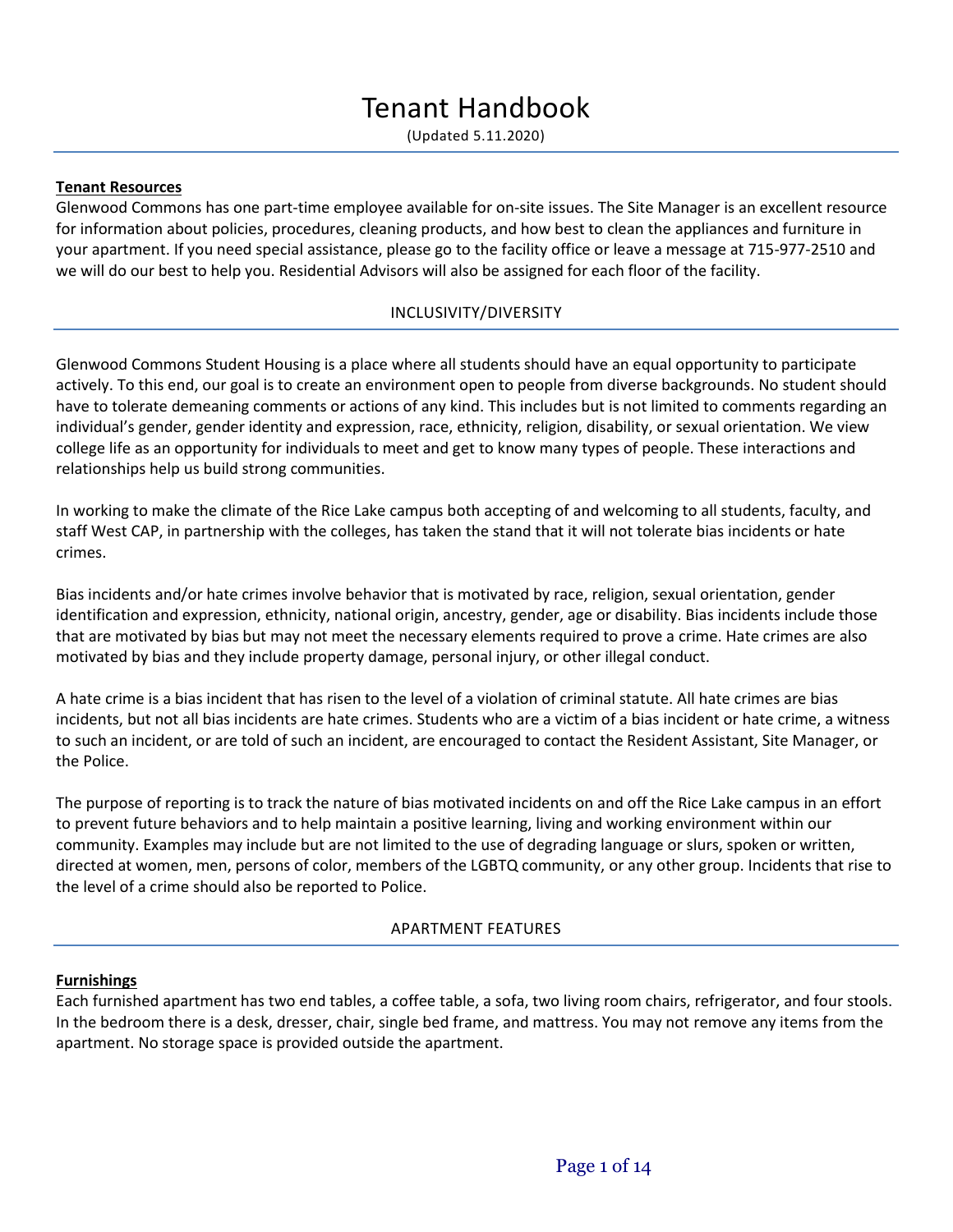(Updated 5.11.2020)

#### **Tenant Resources**

Glenwood Commons has one part-time employee available for on-site issues. The Site Manager is an excellent resource for information about policies, procedures, cleaning products, and how best to clean the appliances and furniture in your apartment. If you need special assistance, please go to the facility office or leave a message at 715-977-2510 and we will do our best to help you. Residential Advisors will also be assigned for each floor of the facility.

### INCLUSIVITY/DIVERSITY

Glenwood Commons Student Housing is a place where all students should have an equal opportunity to participate actively. To this end, our goal is to create an environment open to people from diverse backgrounds. No student should have to tolerate demeaning comments or actions of any kind. This includes but is not limited to comments regarding an individual's gender, gender identity and expression, race, ethnicity, religion, disability, or sexual orientation. We view college life as an opportunity for individuals to meet and get to know many types of people. These interactions and relationships help us build strong communities.

In working to make the climate of the Rice Lake campus both accepting of and welcoming to all students, faculty, and staff West CAP, in partnership with the colleges, has taken the stand that it will not tolerate bias incidents or hate crimes.

Bias incidents and/or hate crimes involve behavior that is motivated by race, religion, sexual orientation, gender identification and expression, ethnicity, national origin, ancestry, gender, age or disability. Bias incidents include those that are motivated by bias but may not meet the necessary elements required to prove a crime. Hate crimes are also motivated by bias and they include property damage, personal injury, or other illegal conduct.

A hate crime is a bias incident that has risen to the level of a violation of criminal statute. All hate crimes are bias incidents, but not all bias incidents are hate crimes. Students who are a victim of a bias incident or hate crime, a witness to such an incident, or are told of such an incident, are encouraged to contact the Resident Assistant, Site Manager, or the Police.

The purpose of reporting is to track the nature of bias motivated incidents on and off the Rice Lake campus in an effort to prevent future behaviors and to help maintain a positive learning, living and working environment within our community. Examples may include but are not limited to the use of degrading language or slurs, spoken or written, directed at women, men, persons of color, members of the LGBTQ community, or any other group. Incidents that rise to the level of a crime should also be reported to Police.

#### APARTMENT FEATURES

#### **Furnishings**

Each furnished apartment has two end tables, a coffee table, a sofa, two living room chairs, refrigerator, and four stools. In the bedroom there is a desk, dresser, chair, single bed frame, and mattress. You may not remove any items from the apartment. No storage space is provided outside the apartment.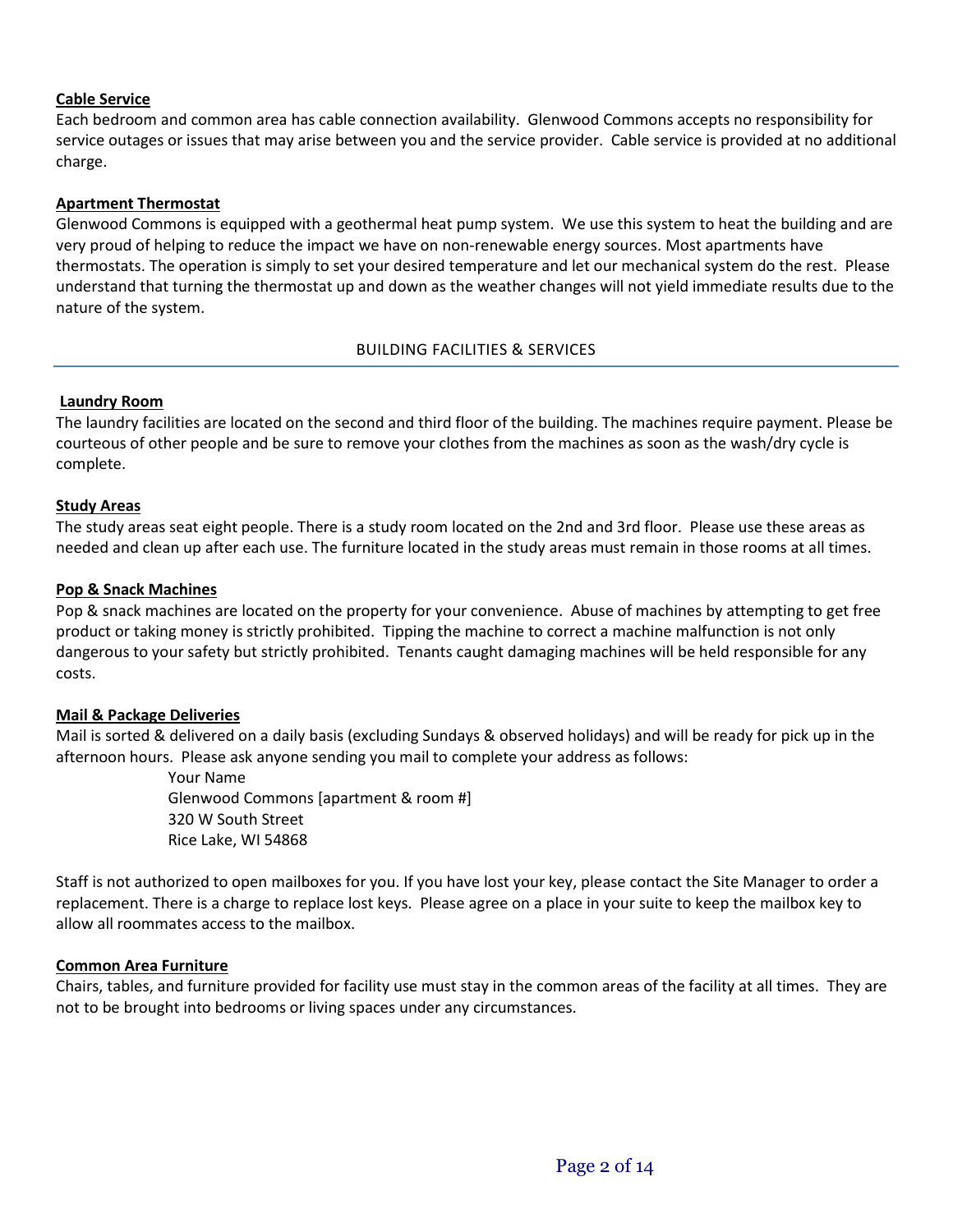## **Cable Service**

Each bedroom and common area has cable connection availability. Glenwood Commons accepts no responsibility for service outages or issues that may arise between you and the service provider. Cable service is provided at no additional charge.

## **Apartment Thermostat**

Glenwood Commons is equipped with a geothermal heat pump system. We use this system to heat the building and are very proud of helping to reduce the impact we have on non-renewable energy sources. Most apartments have thermostats. The operation is simply to set your desired temperature and let our mechanical system do the rest. Please understand that turning the thermostat up and down as the weather changes will not yield immediate results due to the nature of the system.

## BUILDING FACILITIES & SERVICES

## **Laundry Room**

The laundry facilities are located on the second and third floor of the building. The machines require payment. Please be courteous of other people and be sure to remove your clothes from the machines as soon as the wash/dry cycle is complete.

### **Study Areas**

The study areas seat eight people. There is a study room located on the 2nd and 3rd floor. Please use these areas as needed and clean up after each use. The furniture located in the study areas must remain in those rooms at all times.

### **Pop & Snack Machines**

Pop & snack machines are located on the property for your convenience. Abuse of machines by attempting to get free product or taking money is strictly prohibited. Tipping the machine to correct a machine malfunction is not only dangerous to your safety but strictly prohibited. Tenants caught damaging machines will be held responsible for any costs.

## **Mail & Package Deliveries**

Mail is sorted & delivered on a daily basis (excluding Sundays & observed holidays) and will be ready for pick up in the afternoon hours. Please ask anyone sending you mail to complete your address as follows:

> Your Name Glenwood Commons [apartment & room #] 320 W South Street Rice Lake, WI 54868

Staff is not authorized to open mailboxes for you. If you have lost your key, please contact the Site Manager to order a replacement. There is a charge to replace lost keys. Please agree on a place in your suite to keep the mailbox key to allow all roommates access to the mailbox.

## **Common Area Furniture**

Chairs, tables, and furniture provided for facility use must stay in the common areas of the facility at all times. They are not to be brought into bedrooms or living spaces under any circumstances.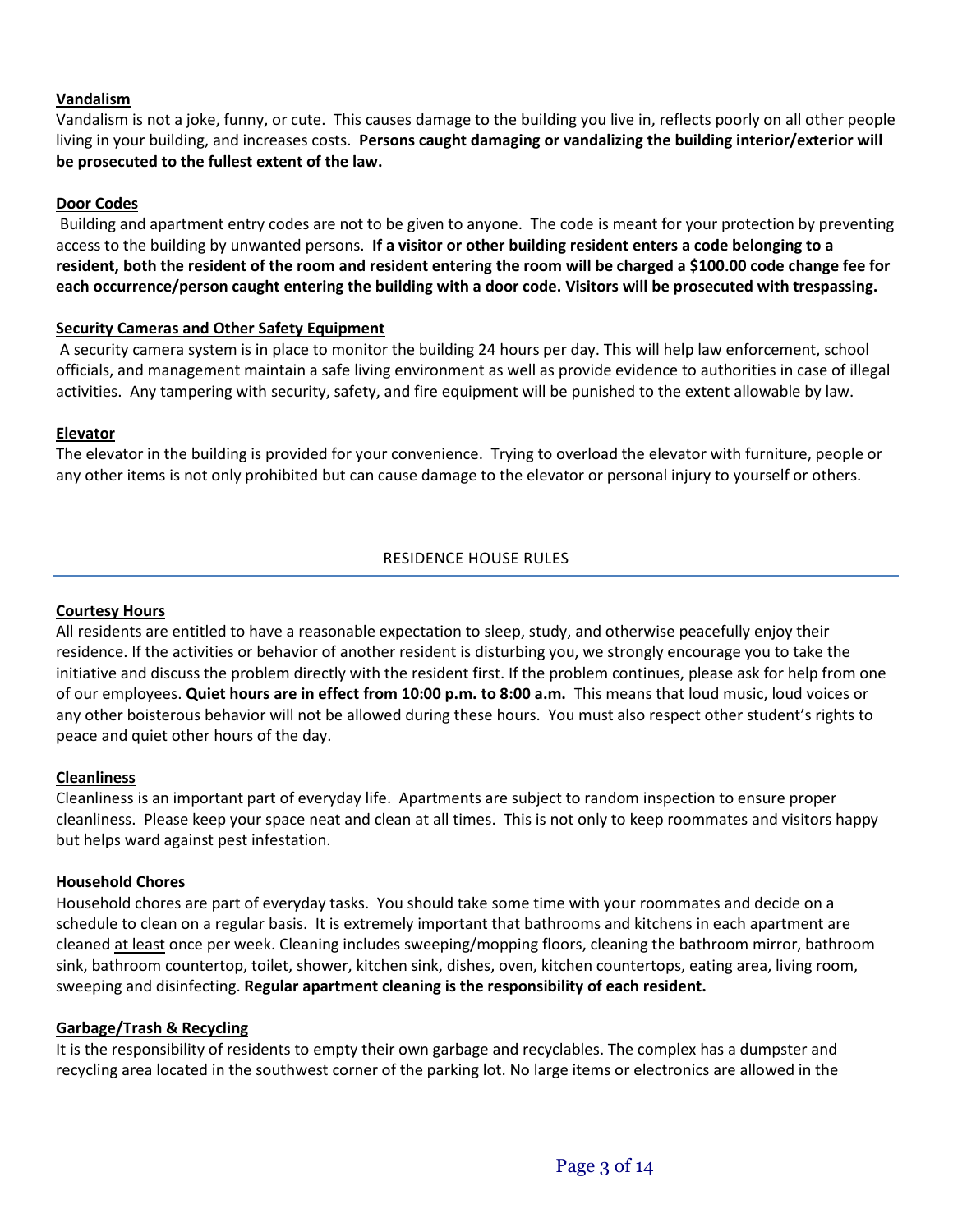## **Vandalism**

Vandalism is not a joke, funny, or cute. This causes damage to the building you live in, reflects poorly on all other people living in your building, and increases costs. **Persons caught damaging or vandalizing the building interior/exterior will be prosecuted to the fullest extent of the law.**

### **Door Codes**

Building and apartment entry codes are not to be given to anyone. The code is meant for your protection by preventing access to the building by unwanted persons. **If a visitor or other building resident enters a code belonging to a resident, both the resident of the room and resident entering the room will be charged a \$100.00 code change fee for each occurrence/person caught entering the building with a door code. Visitors will be prosecuted with trespassing.**

### **Security Cameras and Other Safety Equipment**

A security camera system is in place to monitor the building 24 hours per day. This will help law enforcement, school officials, and management maintain a safe living environment as well as provide evidence to authorities in case of illegal activities. Any tampering with security, safety, and fire equipment will be punished to the extent allowable by law.

## **Elevator**

The elevator in the building is provided for your convenience. Trying to overload the elevator with furniture, people or any other items is not only prohibited but can cause damage to the elevator or personal injury to yourself or others.

## RESIDENCE HOUSE RULES

#### **Courtesy Hours**

All residents are entitled to have a reasonable expectation to sleep, study, and otherwise peacefully enjoy their residence. If the activities or behavior of another resident is disturbing you, we strongly encourage you to take the initiative and discuss the problem directly with the resident first. If the problem continues, please ask for help from one of our employees. **Quiet hours are in effect from 10:00 p.m. to 8:00 a.m.** This means that loud music, loud voices or any other boisterous behavior will not be allowed during these hours. You must also respect other student's rights to peace and quiet other hours of the day.

#### **Cleanliness**

Cleanliness is an important part of everyday life. Apartments are subject to random inspection to ensure proper cleanliness. Please keep your space neat and clean at all times. This is not only to keep roommates and visitors happy but helps ward against pest infestation.

#### **Household Chores**

Household chores are part of everyday tasks. You should take some time with your roommates and decide on a schedule to clean on a regular basis. It is extremely important that bathrooms and kitchens in each apartment are cleaned at least once per week. Cleaning includes sweeping/mopping floors, cleaning the bathroom mirror, bathroom sink, bathroom countertop, toilet, shower, kitchen sink, dishes, oven, kitchen countertops, eating area, living room, sweeping and disinfecting. **Regular apartment cleaning is the responsibility of each resident.**

#### **Garbage/Trash & Recycling**

It is the responsibility of residents to empty their own garbage and recyclables. The complex has a dumpster and recycling area located in the southwest corner of the parking lot. No large items or electronics are allowed in the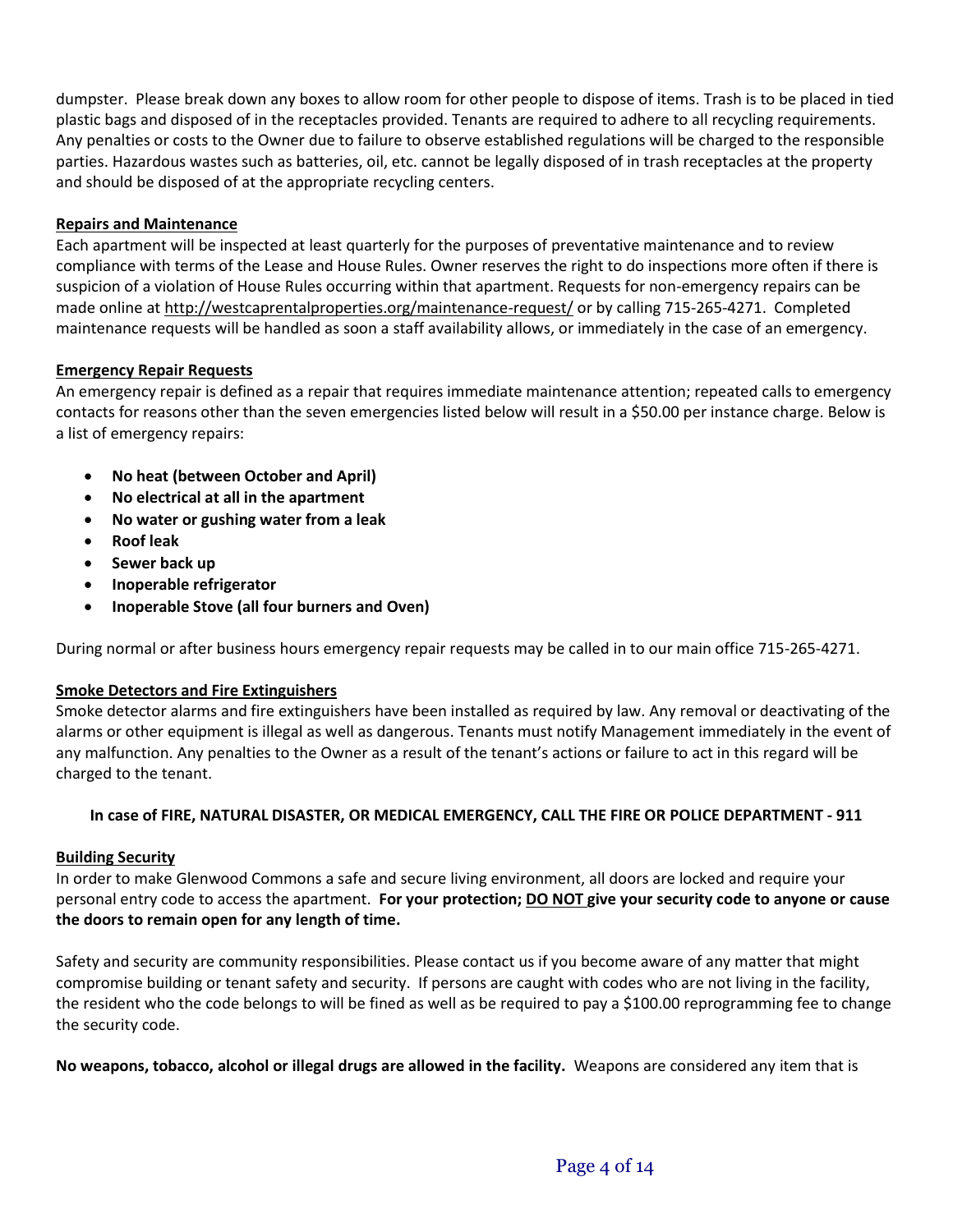dumpster. Please break down any boxes to allow room for other people to dispose of items. Trash is to be placed in tied plastic bags and disposed of in the receptacles provided. Tenants are required to adhere to all recycling requirements. Any penalties or costs to the Owner due to failure to observe established regulations will be charged to the responsible parties. Hazardous wastes such as batteries, oil, etc. cannot be legally disposed of in trash receptacles at the property and should be disposed of at the appropriate recycling centers.

## **Repairs and Maintenance**

Each apartment will be inspected at least quarterly for the purposes of preventative maintenance and to review compliance with terms of the Lease and House Rules. Owner reserves the right to do inspections more often if there is suspicion of a violation of House Rules occurring within that apartment. Requests for non-emergency repairs can be made online a[t http://westcaprentalproperties.org/maintenance-request/](http://westcaprentalproperties.org/maintenance-request/) or by calling 715-265-4271. Completed maintenance requests will be handled as soon a staff availability allows, or immediately in the case of an emergency.

## **Emergency Repair Requests**

An emergency repair is defined as a repair that requires immediate maintenance attention; repeated calls to emergency contacts for reasons other than the seven emergencies listed below will result in a \$50.00 per instance charge. Below is a list of emergency repairs:

- **No heat (between October and April)**
- **No electrical at all in the apartment**
- **No water or gushing water from a leak**
- **Roof leak**
- **Sewer back up**
- **Inoperable refrigerator**
- **Inoperable Stove (all four burners and Oven)**

During normal or after business hours emergency repair requests may be called in to our main office 715-265-4271.

## **Smoke Detectors and Fire Extinguishers**

Smoke detector alarms and fire extinguishers have been installed as required by law. Any removal or deactivating of the alarms or other equipment is illegal as well as dangerous. Tenants must notify Management immediately in the event of any malfunction. Any penalties to the Owner as a result of the tenant's actions or failure to act in this regard will be charged to the tenant.

## **In case of FIRE, NATURAL DISASTER, OR MEDICAL EMERGENCY, CALL THE FIRE OR POLICE DEPARTMENT - 911**

## **Building Security**

In order to make Glenwood Commons a safe and secure living environment, all doors are locked and require your personal entry code to access the apartment. **For your protection; DO NOT give your security code to anyone or cause the doors to remain open for any length of time.**

Safety and security are community responsibilities. Please contact us if you become aware of any matter that might compromise building or tenant safety and security. If persons are caught with codes who are not living in the facility, the resident who the code belongs to will be fined as well as be required to pay a \$100.00 reprogramming fee to change the security code.

**No weapons, tobacco, alcohol or illegal drugs are allowed in the facility.** Weapons are considered any item that is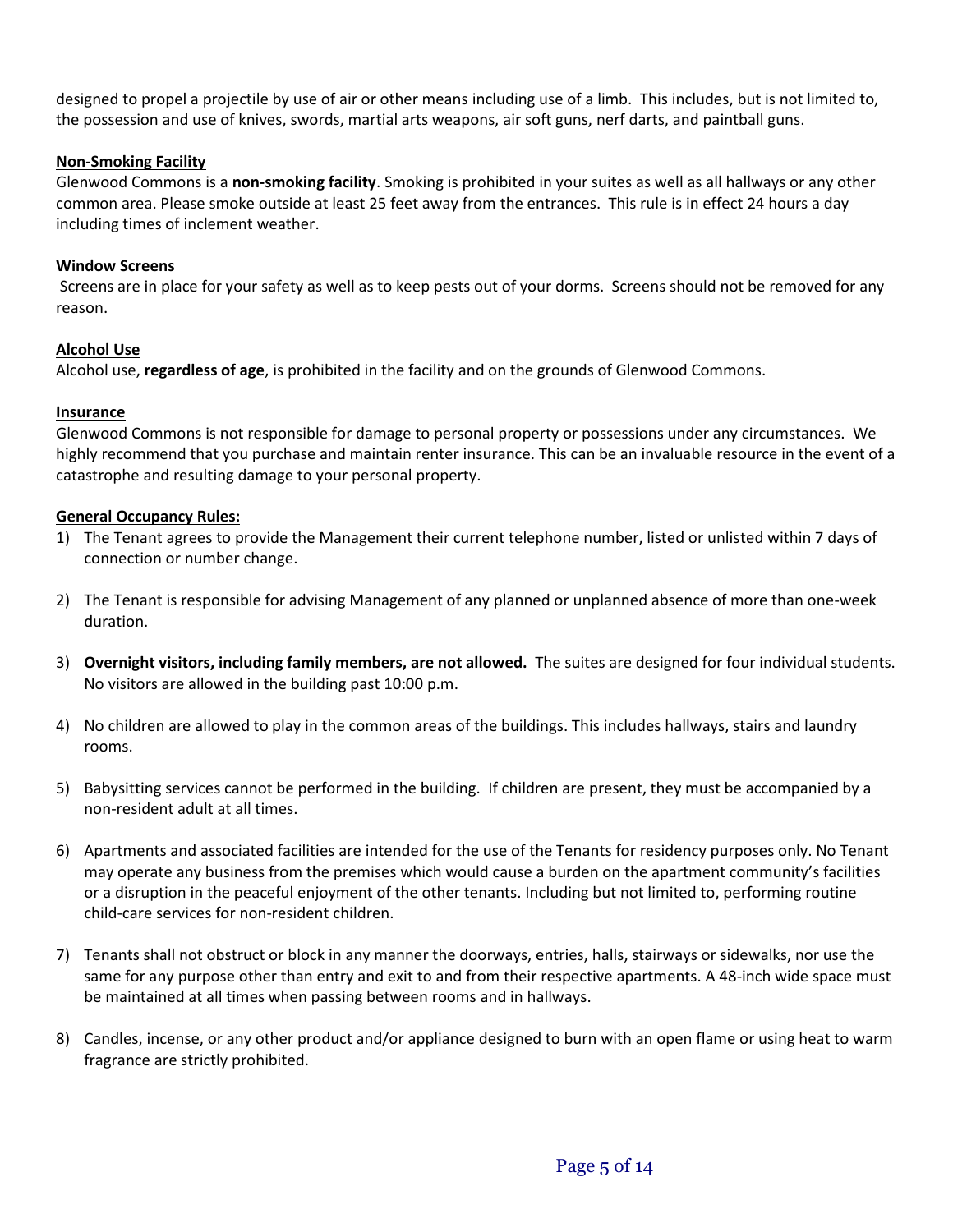designed to propel a projectile by use of air or other means including use of a limb. This includes, but is not limited to, the possession and use of knives, swords, martial arts weapons, air soft guns, nerf darts, and paintball guns.

## **Non-Smoking Facility**

Glenwood Commons is a **non-smoking facility**. Smoking is prohibited in your suites as well as all hallways or any other common area. Please smoke outside at least 25 feet away from the entrances. This rule is in effect 24 hours a day including times of inclement weather.

## **Window Screens**

Screens are in place for your safety as well as to keep pests out of your dorms. Screens should not be removed for any reason.

## **Alcohol Use**

Alcohol use, **regardless of age**, is prohibited in the facility and on the grounds of Glenwood Commons.

## **Insurance**

Glenwood Commons is not responsible for damage to personal property or possessions under any circumstances. We highly recommend that you purchase and maintain renter insurance. This can be an invaluable resource in the event of a catastrophe and resulting damage to your personal property.

## **General Occupancy Rules:**

- 1) The Tenant agrees to provide the Management their current telephone number, listed or unlisted within 7 days of connection or number change.
- 2) The Tenant is responsible for advising Management of any planned or unplanned absence of more than one-week duration.
- 3) **Overnight visitors, including family members, are not allowed.** The suites are designed for four individual students. No visitors are allowed in the building past 10:00 p.m.
- 4) No children are allowed to play in the common areas of the buildings. This includes hallways, stairs and laundry rooms.
- 5) Babysitting services cannot be performed in the building. If children are present, they must be accompanied by a non-resident adult at all times.
- 6) Apartments and associated facilities are intended for the use of the Tenants for residency purposes only. No Tenant may operate any business from the premises which would cause a burden on the apartment community's facilities or a disruption in the peaceful enjoyment of the other tenants. Including but not limited to, performing routine child-care services for non-resident children.
- 7) Tenants shall not obstruct or block in any manner the doorways, entries, halls, stairways or sidewalks, nor use the same for any purpose other than entry and exit to and from their respective apartments. A 48-inch wide space must be maintained at all times when passing between rooms and in hallways.
- 8) Candles, incense, or any other product and/or appliance designed to burn with an open flame or using heat to warm fragrance are strictly prohibited.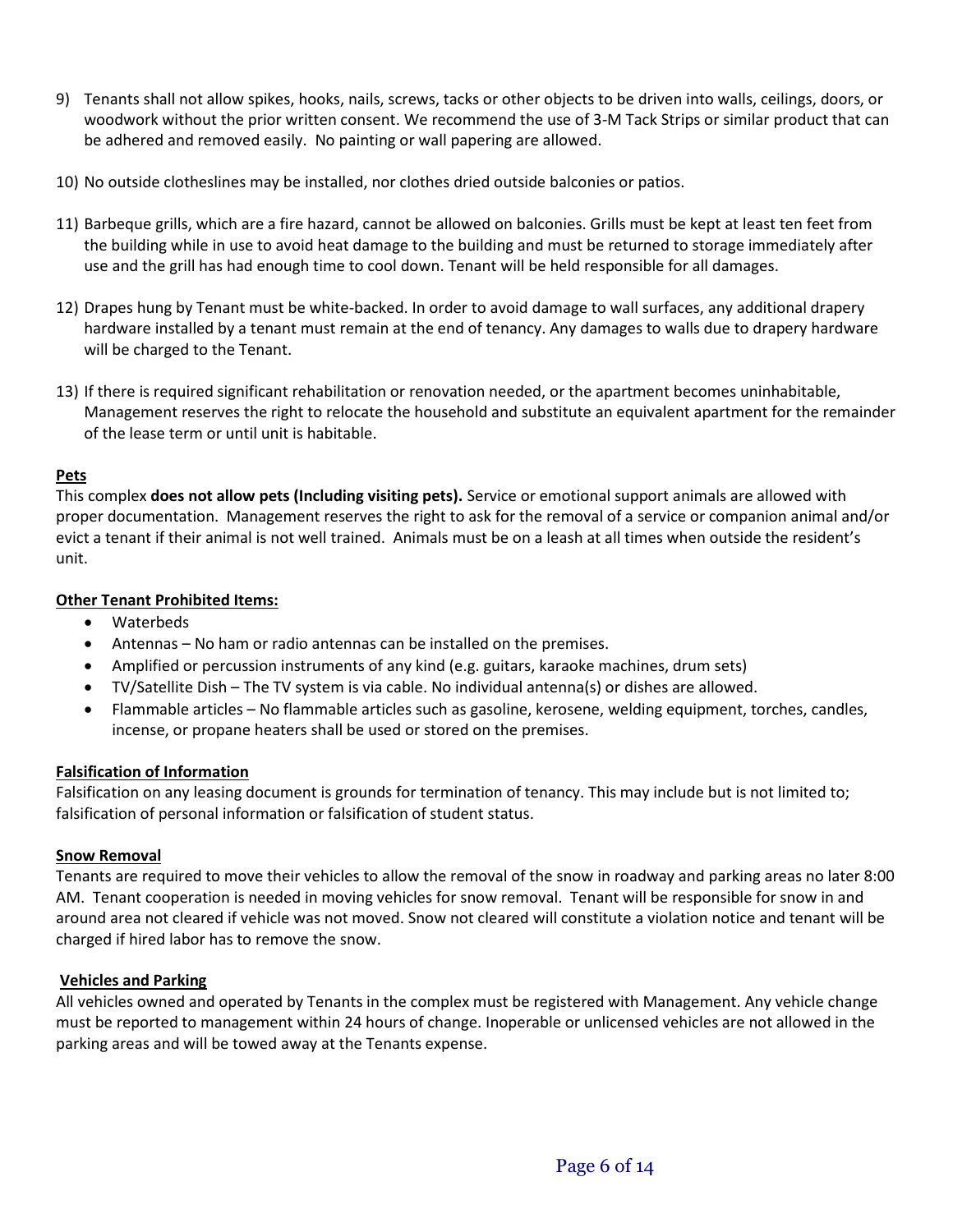- 9) Tenants shall not allow spikes, hooks, nails, screws, tacks or other objects to be driven into walls, ceilings, doors, or woodwork without the prior written consent. We recommend the use of 3-M Tack Strips or similar product that can be adhered and removed easily. No painting or wall papering are allowed.
- 10) No outside clotheslines may be installed, nor clothes dried outside balconies or patios.
- 11) Barbeque grills, which are a fire hazard, cannot be allowed on balconies. Grills must be kept at least ten feet from the building while in use to avoid heat damage to the building and must be returned to storage immediately after use and the grill has had enough time to cool down. Tenant will be held responsible for all damages.
- 12) Drapes hung by Tenant must be white-backed. In order to avoid damage to wall surfaces, any additional drapery hardware installed by a tenant must remain at the end of tenancy. Any damages to walls due to drapery hardware will be charged to the Tenant.
- 13) If there is required significant rehabilitation or renovation needed, or the apartment becomes uninhabitable, Management reserves the right to relocate the household and substitute an equivalent apartment for the remainder of the lease term or until unit is habitable.

## **Pets**

This complex **does not allow pets (Including visiting pets).** Service or emotional support animals are allowed with proper documentation. Management reserves the right to ask for the removal of a service or companion animal and/or evict a tenant if their animal is not well trained. Animals must be on a leash at all times when outside the resident's unit.

## **Other Tenant Prohibited Items:**

- Waterbeds
- Antennas No ham or radio antennas can be installed on the premises.
- Amplified or percussion instruments of any kind (e.g. guitars, karaoke machines, drum sets)
- TV/Satellite Dish The TV system is via cable. No individual antenna(s) or dishes are allowed.
- Flammable articles No flammable articles such as gasoline, kerosene, welding equipment, torches, candles, incense, or propane heaters shall be used or stored on the premises.

## **Falsification of Information**

Falsification on any leasing document is grounds for termination of tenancy. This may include but is not limited to; falsification of personal information or falsification of student status.

## **Snow Removal**

Tenants are required to move their vehicles to allow the removal of the snow in roadway and parking areas no later 8:00 AM. Tenant cooperation is needed in moving vehicles for snow removal. Tenant will be responsible for snow in and around area not cleared if vehicle was not moved. Snow not cleared will constitute a violation notice and tenant will be charged if hired labor has to remove the snow.

## **Vehicles and Parking**

All vehicles owned and operated by Tenants in the complex must be registered with Management. Any vehicle change must be reported to management within 24 hours of change. Inoperable or unlicensed vehicles are not allowed in the parking areas and will be towed away at the Tenants expense.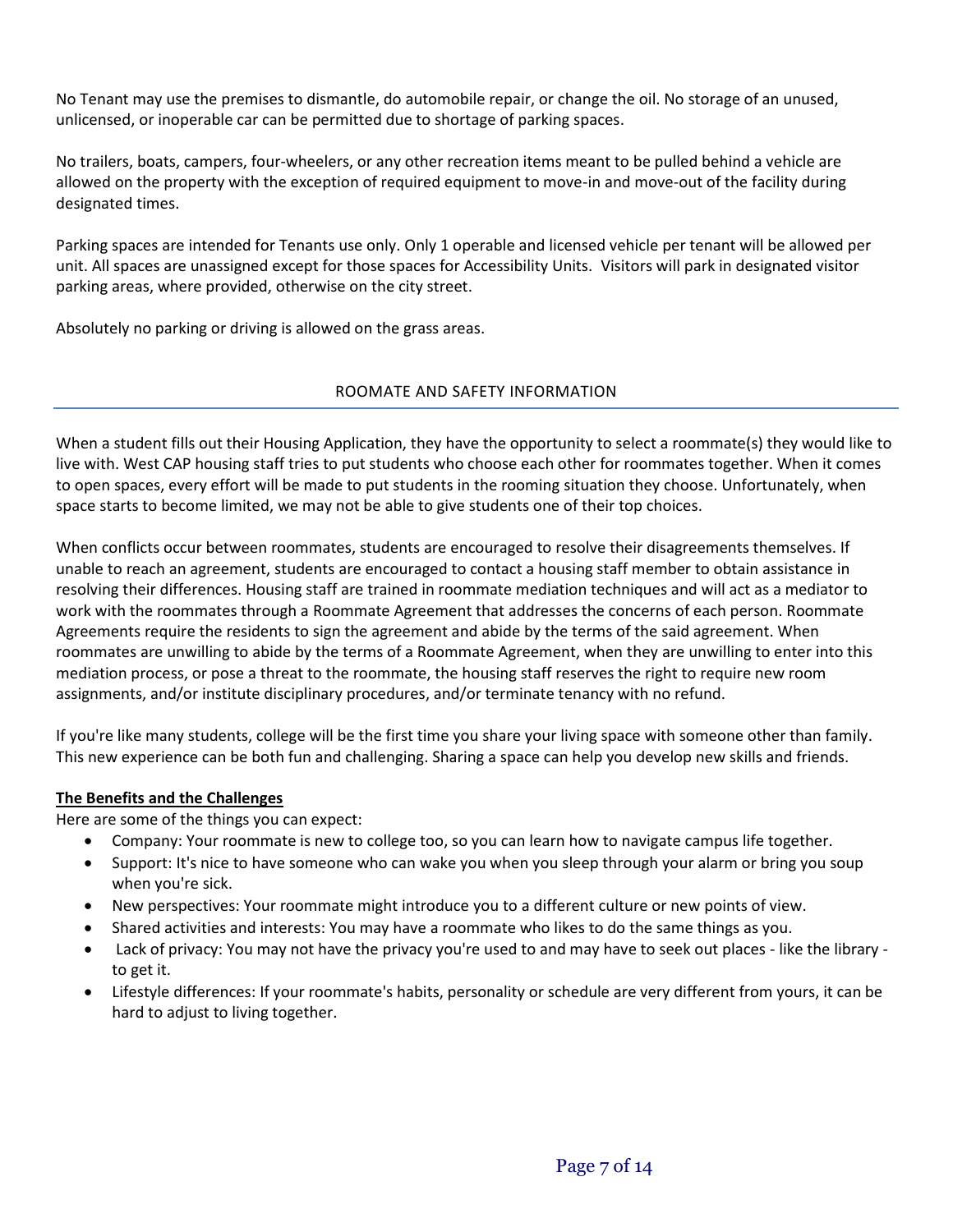No Tenant may use the premises to dismantle, do automobile repair, or change the oil. No storage of an unused, unlicensed, or inoperable car can be permitted due to shortage of parking spaces.

No trailers, boats, campers, four-wheelers, or any other recreation items meant to be pulled behind a vehicle are allowed on the property with the exception of required equipment to move-in and move-out of the facility during designated times.

Parking spaces are intended for Tenants use only. Only 1 operable and licensed vehicle per tenant will be allowed per unit. All spaces are unassigned except for those spaces for Accessibility Units. Visitors will park in designated visitor parking areas, where provided, otherwise on the city street.

Absolutely no parking or driving is allowed on the grass areas.

## ROOMATE AND SAFETY INFORMATION

When a student fills out their Housing Application, they have the opportunity to select a roommate(s) they would like to live with. West CAP housing staff tries to put students who choose each other for roommates together. When it comes to open spaces, every effort will be made to put students in the rooming situation they choose. Unfortunately, when space starts to become limited, we may not be able to give students one of their top choices.

When conflicts occur between roommates, students are encouraged to resolve their disagreements themselves. If unable to reach an agreement, students are encouraged to contact a housing staff member to obtain assistance in resolving their differences. Housing staff are trained in roommate mediation techniques and will act as a mediator to work with the roommates through a Roommate Agreement that addresses the concerns of each person. Roommate Agreements require the residents to sign the agreement and abide by the terms of the said agreement. When roommates are unwilling to abide by the terms of a Roommate Agreement, when they are unwilling to enter into this mediation process, or pose a threat to the roommate, the housing staff reserves the right to require new room assignments, and/or institute disciplinary procedures, and/or terminate tenancy with no refund.

If you're like many students, college will be the first time you share your living space with someone other than family. This new experience can be both fun and challenging. Sharing a space can help you develop new skills and friends.

## **The Benefits and the Challenges**

Here are some of the things you can expect:

- Company: Your roommate is new to college too, so you can learn how to navigate campus life together.
- Support: It's nice to have someone who can wake you when you sleep through your alarm or bring you soup when you're sick.
- New perspectives: Your roommate might introduce you to a different culture or new points of view.
- Shared activities and interests: You may have a roommate who likes to do the same things as you.
- Lack of privacy: You may not have the privacy you're used to and may have to seek out places like the library to get it.
- Lifestyle differences: If your roommate's habits, personality or schedule are very different from yours, it can be hard to adjust to living together.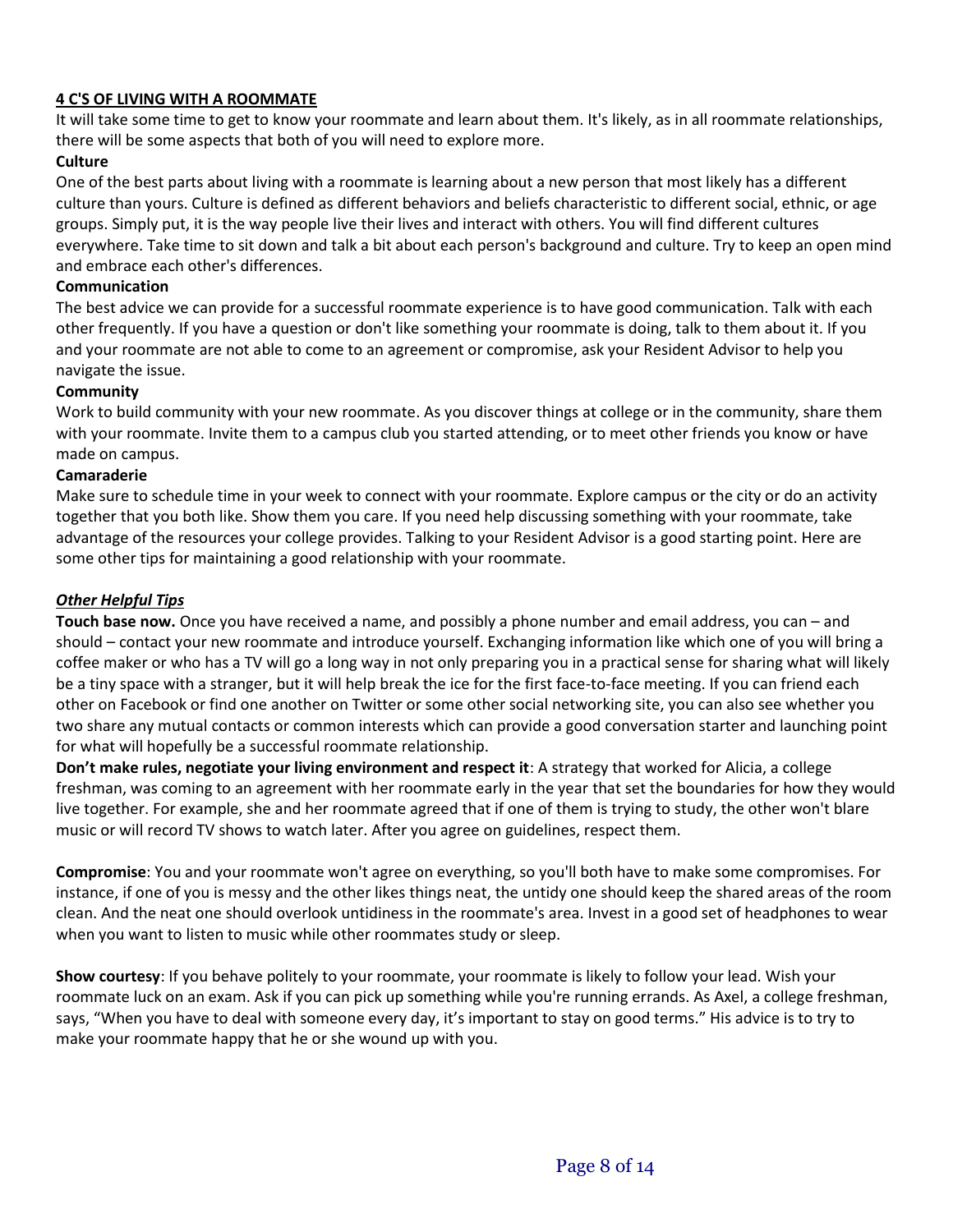# **4 C'S OF LIVING WITH A ROOMMATE**

It will take some time to get to know your roommate and learn about them. It's likely, as in all roommate relationships, there will be some aspects that both of you will need to explore more.

## **Culture**

One of the best parts about living with a roommate is learning about a new person that most likely has a different culture than yours. Culture is defined as different behaviors and beliefs characteristic to different social, ethnic, or age groups. Simply put, it is the way people live their lives and interact with others. You will find different cultures everywhere. Take time to sit down and talk a bit about each person's background and culture. Try to keep an open mind and embrace each other's differences.

## **Communication**

The best advice we can provide for a successful roommate experience is to have good communication. Talk with each other frequently. If you have a question or don't like something your roommate is doing, talk to them about it. If you and your roommate are not able to come to an agreement or compromise, ask your Resident Advisor to help you navigate the issue.

## **Community**

Work to build community with your new roommate. As you discover things at college or in the community, share them with your roommate. Invite them to a campus club you started attending, or to meet other friends you know or have made on campus.

### **Camaraderie**

Make sure to schedule time in your week to connect with your roommate. Explore campus or the city or do an activity together that you both like. Show them you care. If you need help discussing something with your roommate, take advantage of the resources your college provides. Talking to your Resident Advisor is a good starting point. Here are some other tips for maintaining a good relationship with your roommate.

## *Other Helpful Tips*

**Touch base now.** Once you have received a name, and possibly a phone number and email address, you can – and should – contact your new roommate and introduce yourself. Exchanging information like which one of you will bring a coffee maker or who has a TV will go a long way in not only preparing you in a practical sense for sharing what will likely be a tiny space with a stranger, but it will help break the ice for the first face-to-face meeting. If you can friend each other on Facebook or find one another on Twitter or some other social networking site, you can also see whether you two share any mutual contacts or common interests which can provide a good conversation starter and launching point for what will hopefully be a successful roommate relationship.

**Don't make rules, negotiate your living environment and respect it**: A strategy that worked for Alicia, a college freshman, was coming to an agreement with her roommate early in the year that set the boundaries for how they would live together. For example, she and her roommate agreed that if one of them is trying to study, the other won't blare music or will record TV shows to watch later. After you agree on guidelines, respect them.

**Compromise**: You and your roommate won't agree on everything, so you'll both have to make some compromises. For instance, if one of you is messy and the other likes things neat, the untidy one should keep the shared areas of the room clean. And the neat one should overlook untidiness in the roommate's area. Invest in a good set of headphones to wear when you want to listen to music while other roommates study or sleep.

**Show courtesy**: If you behave politely to your roommate, your roommate is likely to follow your lead. Wish your roommate luck on an exam. Ask if you can pick up something while you're running errands. As Axel, a college freshman, says, "When you have to deal with someone every day, it's important to stay on good terms." His advice is to try to make your roommate happy that he or she wound up with you.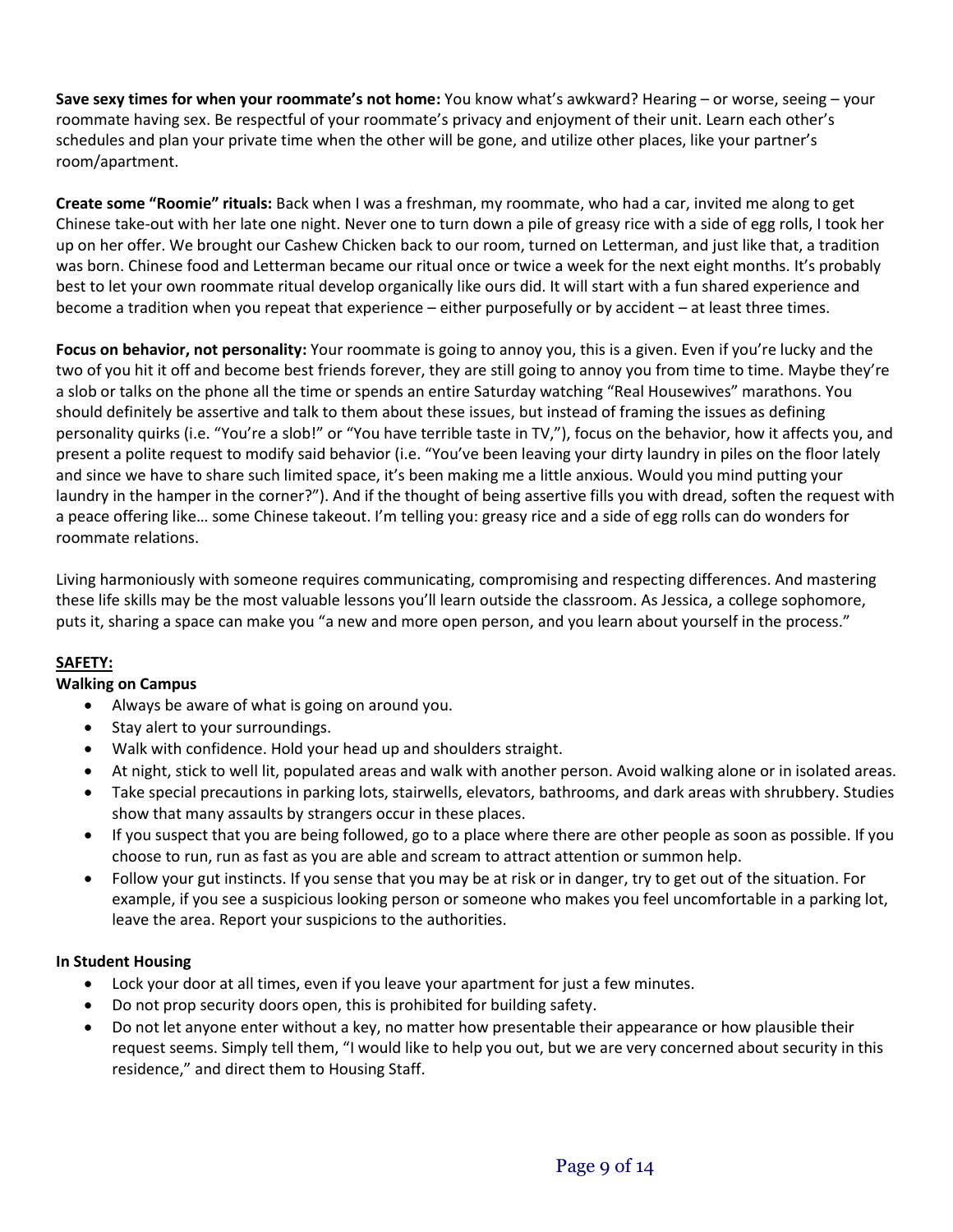**Save sexy times for when your roommate's not home:** You know what's awkward? Hearing – or worse, seeing – your roommate having sex. Be respectful of your roommate's privacy and enjoyment of their unit. Learn each other's schedules and plan your private time when the other will be gone, and utilize other places, like your partner's room/apartment.

**Create some "Roomie" rituals:** Back when I was a freshman, my roommate, who had a car, invited me along to get Chinese take-out with her late one night. Never one to turn down a pile of greasy rice with a side of egg rolls, I took her up on her offer. We brought our Cashew Chicken back to our room, turned on Letterman, and just like that, a tradition was born. Chinese food and Letterman became our ritual once or twice a week for the next eight months. It's probably best to let your own roommate ritual develop organically like ours did. It will start with a fun shared experience and become a tradition when you repeat that experience – either purposefully or by accident – at least three times.

**Focus on behavior, not personality:** Your roommate is going to annoy you, this is a given. Even if you're lucky and the two of you hit it off and become best friends forever, they are still going to annoy you from time to time. Maybe they're a slob or talks on the phone all the time or spends an entire Saturday watching "Real Housewives" marathons. You should definitely be assertive and talk to them about these issues, but instead of framing the issues as defining personality quirks (i.e. "You're a slob!" or "You have terrible taste in TV,"), focus on the behavior, how it affects you, and present a polite request to modify said behavior (i.e. "You've been leaving your dirty laundry in piles on the floor lately and since we have to share such limited space, it's been making me a little anxious. Would you mind putting your laundry in the hamper in the corner?"). And if the thought of being assertive fills you with dread, soften the request with a peace offering like… some Chinese takeout. I'm telling you: greasy rice and a side of egg rolls can do wonders for roommate relations.

Living harmoniously with someone requires communicating, compromising and respecting differences. And mastering these life skills may be the most valuable lessons you'll learn outside the classroom. As Jessica, a college sophomore, puts it, sharing a space can make you "a new and more open person, and you learn about yourself in the process."

# **SAFETY:**

## **Walking on Campus**

- Always be aware of what is going on around you.
- Stay alert to your surroundings.
- Walk with confidence. Hold your head up and shoulders straight.
- At night, stick to well lit, populated areas and walk with another person. Avoid walking alone or in isolated areas.
- Take special precautions in parking lots, stairwells, elevators, bathrooms, and dark areas with shrubbery. Studies show that many assaults by strangers occur in these places.
- If you suspect that you are being followed, go to a place where there are other people as soon as possible. If you choose to run, run as fast as you are able and scream to attract attention or summon help.
- Follow your gut instincts. If you sense that you may be at risk or in danger, try to get out of the situation. For example, if you see a suspicious looking person or someone who makes you feel uncomfortable in a parking lot, leave the area. Report your suspicions to the authorities.

## **In Student Housing**

- Lock your door at all times, even if you leave your apartment for just a few minutes.
- Do not prop security doors open, this is prohibited for building safety.
- Do not let anyone enter without a key, no matter how presentable their appearance or how plausible their request seems. Simply tell them, "I would like to help you out, but we are very concerned about security in this residence," and direct them to Housing Staff.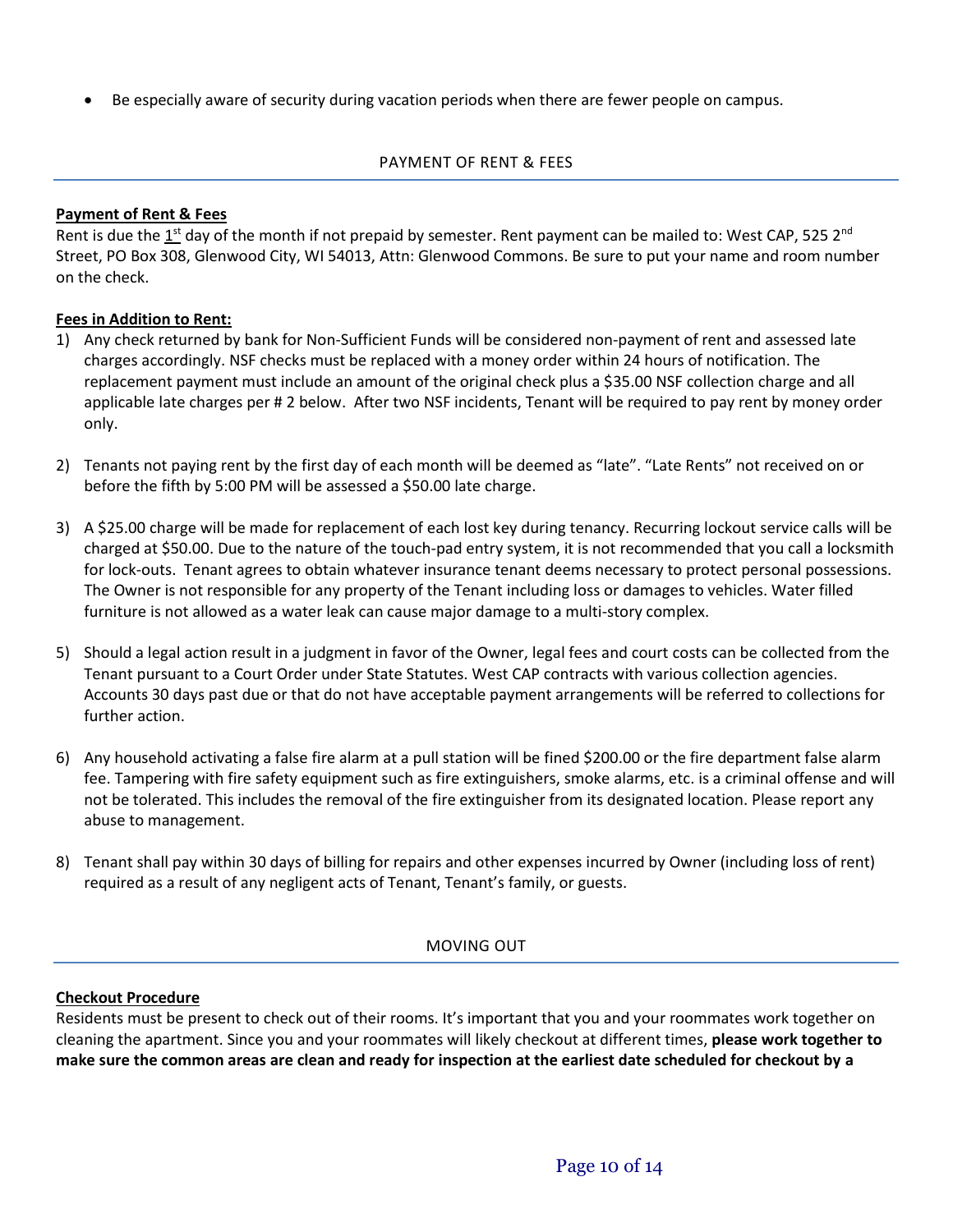• Be especially aware of security during vacation periods when there are fewer people on campus.

# PAYMENT OF RENT & FEES

## **Payment of Rent & Fees**

Rent is due the 1<sup>st</sup> day of the month if not prepaid by semester. Rent payment can be mailed to: West CAP, 525 2<sup>nd</sup> Street, PO Box 308, Glenwood City, WI 54013, Attn: Glenwood Commons. Be sure to put your name and room number on the check.

## **Fees in Addition to Rent:**

- 1) Any check returned by bank for Non-Sufficient Funds will be considered non-payment of rent and assessed late charges accordingly. NSF checks must be replaced with a money order within 24 hours of notification. The replacement payment must include an amount of the original check plus a \$35.00 NSF collection charge and all applicable late charges per # 2 below. After two NSF incidents, Tenant will be required to pay rent by money order only.
- 2) Tenants not paying rent by the first day of each month will be deemed as "late". "Late Rents" not received on or before the fifth by 5:00 PM will be assessed a \$50.00 late charge.
- 3) A \$25.00 charge will be made for replacement of each lost key during tenancy. Recurring lockout service calls will be charged at \$50.00. Due to the nature of the touch-pad entry system, it is not recommended that you call a locksmith for lock-outs. Tenant agrees to obtain whatever insurance tenant deems necessary to protect personal possessions. The Owner is not responsible for any property of the Tenant including loss or damages to vehicles. Water filled furniture is not allowed as a water leak can cause major damage to a multi-story complex.
- 5) Should a legal action result in a judgment in favor of the Owner, legal fees and court costs can be collected from the Tenant pursuant to a Court Order under State Statutes. West CAP contracts with various collection agencies. Accounts 30 days past due or that do not have acceptable payment arrangements will be referred to collections for further action.
- 6) Any household activating a false fire alarm at a pull station will be fined \$200.00 or the fire department false alarm fee. Tampering with fire safety equipment such as fire extinguishers, smoke alarms, etc. is a criminal offense and will not be tolerated. This includes the removal of the fire extinguisher from its designated location. Please report any abuse to management.
- 8) Tenant shall pay within 30 days of billing for repairs and other expenses incurred by Owner (including loss of rent) required as a result of any negligent acts of Tenant, Tenant's family, or guests.

## MOVING OUT

## **Checkout Procedure**

Residents must be present to check out of their rooms. It's important that you and your roommates work together on cleaning the apartment. Since you and your roommates will likely checkout at different times, **please work together to make sure the common areas are clean and ready for inspection at the earliest date scheduled for checkout by a**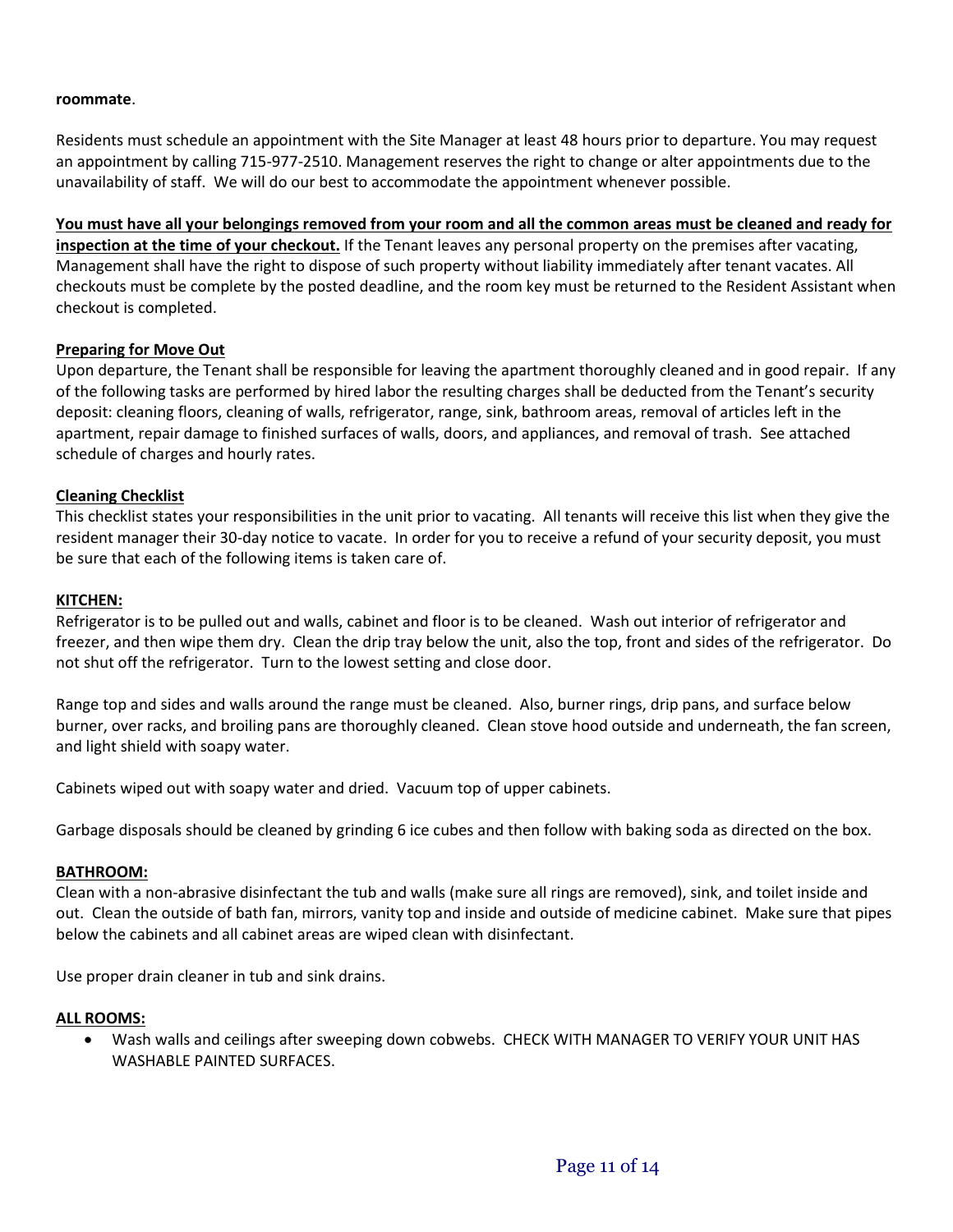### **roommate**.

Residents must schedule an appointment with the Site Manager at least 48 hours prior to departure. You may request an appointment by calling 715-977-2510. Management reserves the right to change or alter appointments due to the unavailability of staff. We will do our best to accommodate the appointment whenever possible.

**You must have all your belongings removed from your room and all the common areas must be cleaned and ready for** 

**inspection at the time of your checkout.** If the Tenant leaves any personal property on the premises after vacating, Management shall have the right to dispose of such property without liability immediately after tenant vacates. All checkouts must be complete by the posted deadline, and the room key must be returned to the Resident Assistant when checkout is completed.

### **Preparing for Move Out**

Upon departure, the Tenant shall be responsible for leaving the apartment thoroughly cleaned and in good repair. If any of the following tasks are performed by hired labor the resulting charges shall be deducted from the Tenant's security deposit: cleaning floors, cleaning of walls, refrigerator, range, sink, bathroom areas, removal of articles left in the apartment, repair damage to finished surfaces of walls, doors, and appliances, and removal of trash. See attached schedule of charges and hourly rates.

## **Cleaning Checklist**

This checklist states your responsibilities in the unit prior to vacating. All tenants will receive this list when they give the resident manager their 30-day notice to vacate. In order for you to receive a refund of your security deposit, you must be sure that each of the following items is taken care of.

### **KITCHEN:**

Refrigerator is to be pulled out and walls, cabinet and floor is to be cleaned. Wash out interior of refrigerator and freezer, and then wipe them dry. Clean the drip tray below the unit, also the top, front and sides of the refrigerator. Do not shut off the refrigerator. Turn to the lowest setting and close door.

Range top and sides and walls around the range must be cleaned. Also, burner rings, drip pans, and surface below burner, over racks, and broiling pans are thoroughly cleaned. Clean stove hood outside and underneath, the fan screen, and light shield with soapy water.

Cabinets wiped out with soapy water and dried. Vacuum top of upper cabinets.

Garbage disposals should be cleaned by grinding 6 ice cubes and then follow with baking soda as directed on the box.

#### **BATHROOM:**

Clean with a non-abrasive disinfectant the tub and walls (make sure all rings are removed), sink, and toilet inside and out. Clean the outside of bath fan, mirrors, vanity top and inside and outside of medicine cabinet. Make sure that pipes below the cabinets and all cabinet areas are wiped clean with disinfectant.

Use proper drain cleaner in tub and sink drains.

#### **ALL ROOMS:**

• Wash walls and ceilings after sweeping down cobwebs. CHECK WITH MANAGER TO VERIFY YOUR UNIT HAS WASHABLE PAINTED SURFACES.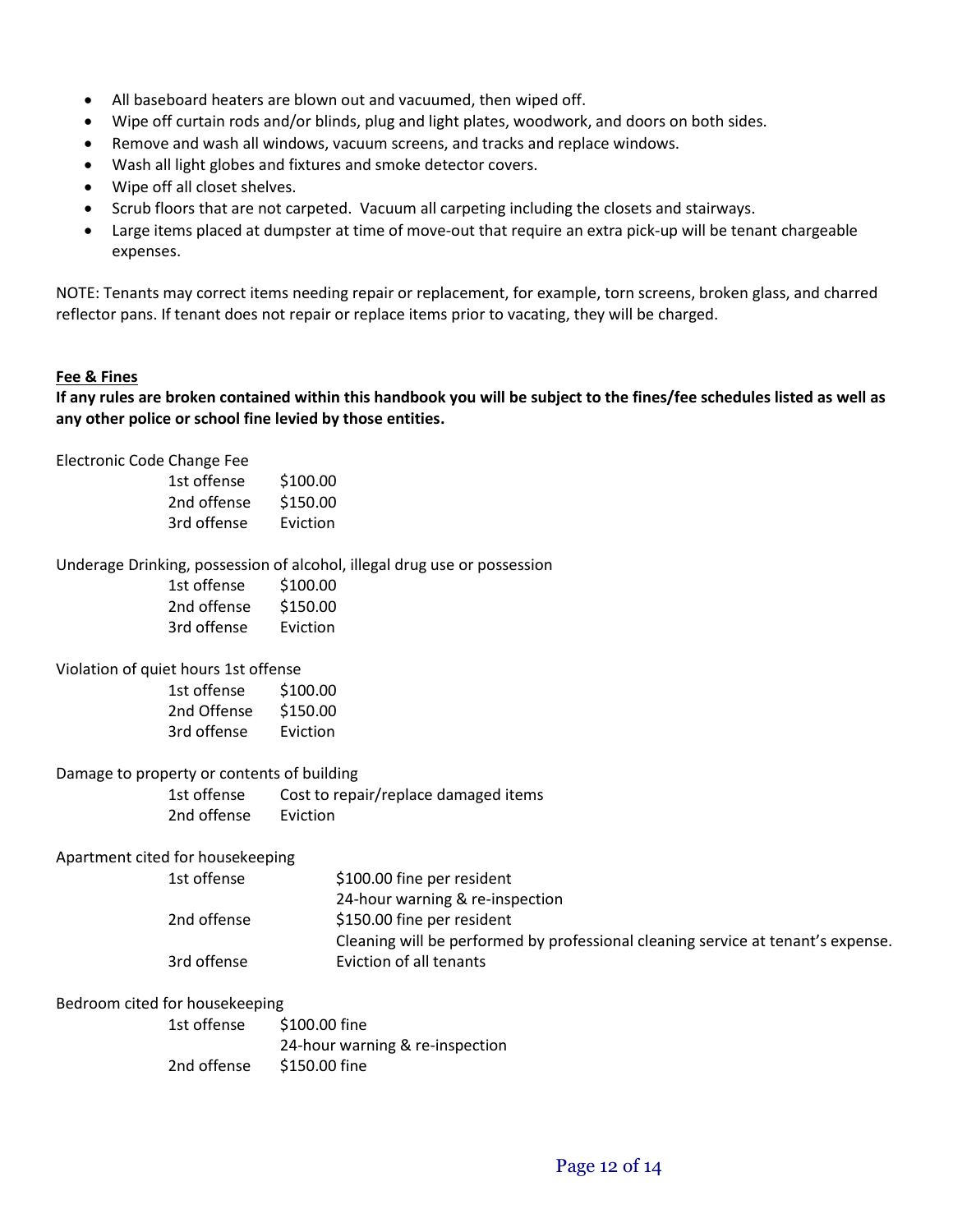- All baseboard heaters are blown out and vacuumed, then wiped off.
- Wipe off curtain rods and/or blinds, plug and light plates, woodwork, and doors on both sides.
- Remove and wash all windows, vacuum screens, and tracks and replace windows.
- Wash all light globes and fixtures and smoke detector covers.
- Wipe off all closet shelves.
- Scrub floors that are not carpeted. Vacuum all carpeting including the closets and stairways.
- Large items placed at dumpster at time of move-out that require an extra pick-up will be tenant chargeable expenses.

NOTE: Tenants may correct items needing repair or replacement, for example, torn screens, broken glass, and charred reflector pans. If tenant does not repair or replace items prior to vacating, they will be charged.

## **Fee & Fines**

**If any rules are broken contained within this handbook you will be subject to the fines/fee schedules listed as well as any other police or school fine levied by those entities.**

Electronic Code Change Fee

| 1st offense | \$100.00 |
|-------------|----------|
| 2nd offense | \$150.00 |
| 3rd offense | Eviction |

#### Underage Drinking, possession of alcohol, illegal drug use or possession

| 1st offense | \$100.00 |
|-------------|----------|
| 2nd offense | \$150.00 |
| 3rd offense | Eviction |

### Violation of quiet hours 1st offense

| 1st offense | \$100.00 |
|-------------|----------|
| 2nd Offense | \$150.00 |
| 3rd offense | Eviction |

#### Damage to property or contents of building

1st offense Cost to repair/replace damaged items 2nd offense Eviction

## Apartment cited for housekeeping

| 1st offense | \$100.00 fine per resident                                                       |
|-------------|----------------------------------------------------------------------------------|
|             | 24-hour warning & re-inspection                                                  |
| 2nd offense | \$150.00 fine per resident                                                       |
|             | Cleaning will be performed by professional cleaning service at tenant's expense. |
| 3rd offense | Eviction of all tenants                                                          |

#### Bedroom cited for housekeeping

| 1st offense | \$100.00 fine                   |
|-------------|---------------------------------|
|             | 24-hour warning & re-inspection |
| 2nd offense | \$150.00 fine                   |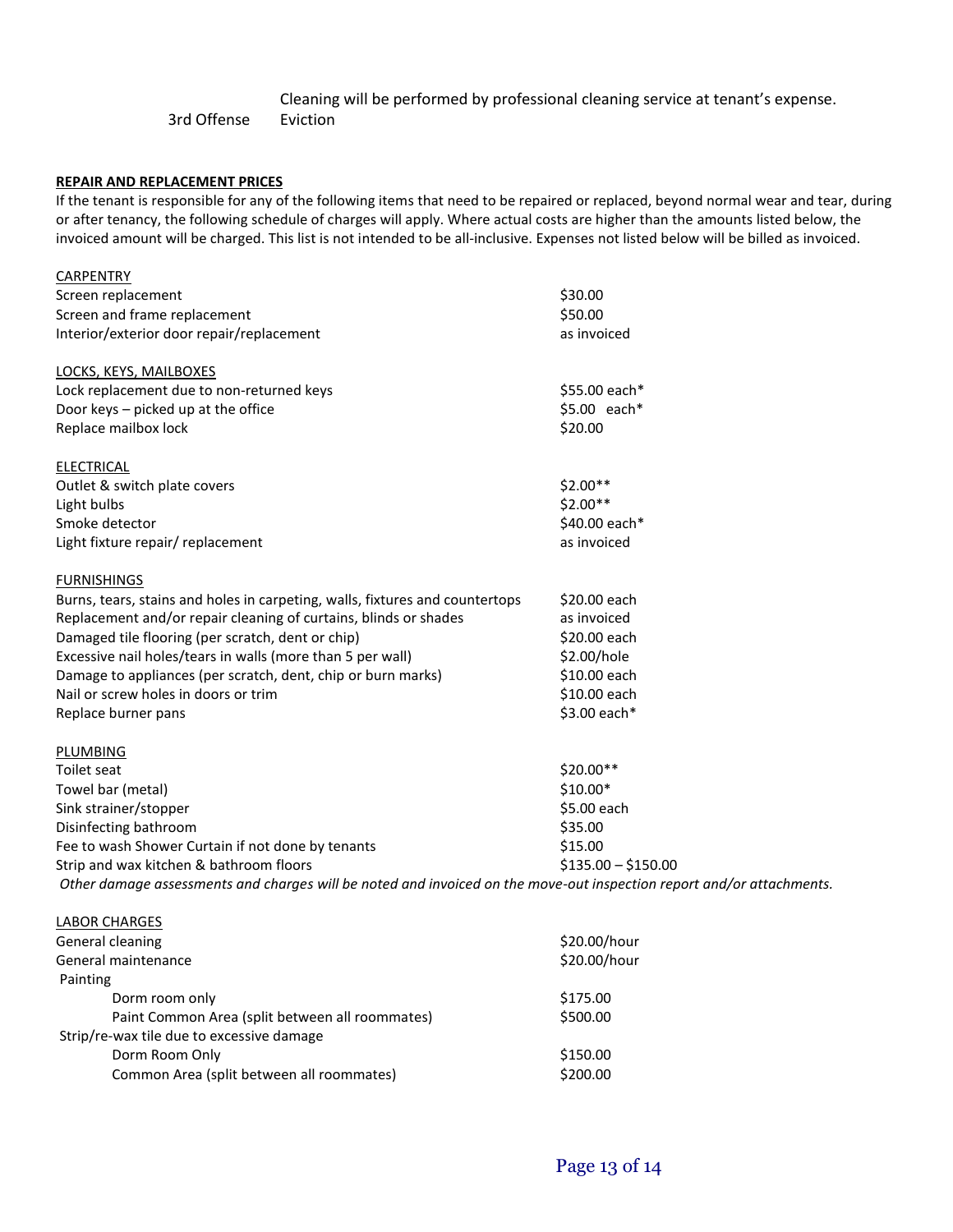# Cleaning will be performed by professional cleaning service at tenant's expense. 3rd Offense Eviction

#### **REPAIR AND REPLACEMENT PRICES**

If the tenant is responsible for any of the following items that need to be repaired or replaced, beyond normal wear and tear, during or after tenancy, the following schedule of charges will apply. Where actual costs are higher than the amounts listed below, the invoiced amount will be charged. This list is not intended to be all-inclusive. Expenses not listed below will be billed as invoiced.

| <b>CARPENTRY</b>                                                                                                      |                     |
|-----------------------------------------------------------------------------------------------------------------------|---------------------|
| Screen replacement                                                                                                    | \$30.00             |
| Screen and frame replacement                                                                                          | \$50.00             |
| Interior/exterior door repair/replacement                                                                             | as invoiced         |
| LOCKS, KEYS, MAILBOXES                                                                                                |                     |
| Lock replacement due to non-returned keys                                                                             | \$55.00 each*       |
| Door keys - picked up at the office                                                                                   | \$5.00 each*        |
| Replace mailbox lock                                                                                                  | \$20.00             |
| <b>ELECTRICAL</b>                                                                                                     |                     |
| Outlet & switch plate covers                                                                                          | \$2.00**            |
| Light bulbs                                                                                                           | \$2.00**            |
| Smoke detector                                                                                                        | \$40.00 each*       |
| Light fixture repair/ replacement                                                                                     | as invoiced         |
| <b>FURNISHINGS</b>                                                                                                    |                     |
| Burns, tears, stains and holes in carpeting, walls, fixtures and countertops                                          | \$20.00 each        |
| Replacement and/or repair cleaning of curtains, blinds or shades                                                      | as invoiced         |
| Damaged tile flooring (per scratch, dent or chip)                                                                     | \$20.00 each        |
| Excessive nail holes/tears in walls (more than 5 per wall)                                                            | \$2.00/hole         |
| Damage to appliances (per scratch, dent, chip or burn marks)                                                          | \$10.00 each        |
| Nail or screw holes in doors or trim                                                                                  | \$10.00 each        |
| Replace burner pans                                                                                                   | \$3.00 each*        |
| PLUMBING                                                                                                              |                     |
| Toilet seat                                                                                                           | \$20.00**           |
| Towel bar (metal)                                                                                                     | \$10.00*            |
| Sink strainer/stopper                                                                                                 | \$5.00 each         |
| Disinfecting bathroom                                                                                                 | \$35.00             |
| Fee to wash Shower Curtain if not done by tenants                                                                     | \$15.00             |
| Strip and wax kitchen & bathroom floors                                                                               | $$135.00 - $150.00$ |
| Other damage assessments and charges will be noted and invoiced on the move-out inspection report and/or attachments. |                     |
| <b>LABOR CHARGES</b>                                                                                                  |                     |

| LADUN CHANGES                                   |              |
|-------------------------------------------------|--------------|
| General cleaning                                | \$20.00/hour |
| General maintenance                             | \$20.00/hour |
| Painting                                        |              |
| Dorm room only                                  | \$175.00     |
| Paint Common Area (split between all roommates) | \$500.00     |
| Strip/re-wax tile due to excessive damage       |              |
| Dorm Room Only                                  | \$150.00     |
| Common Area (split between all roommates)       | \$200.00     |
|                                                 |              |